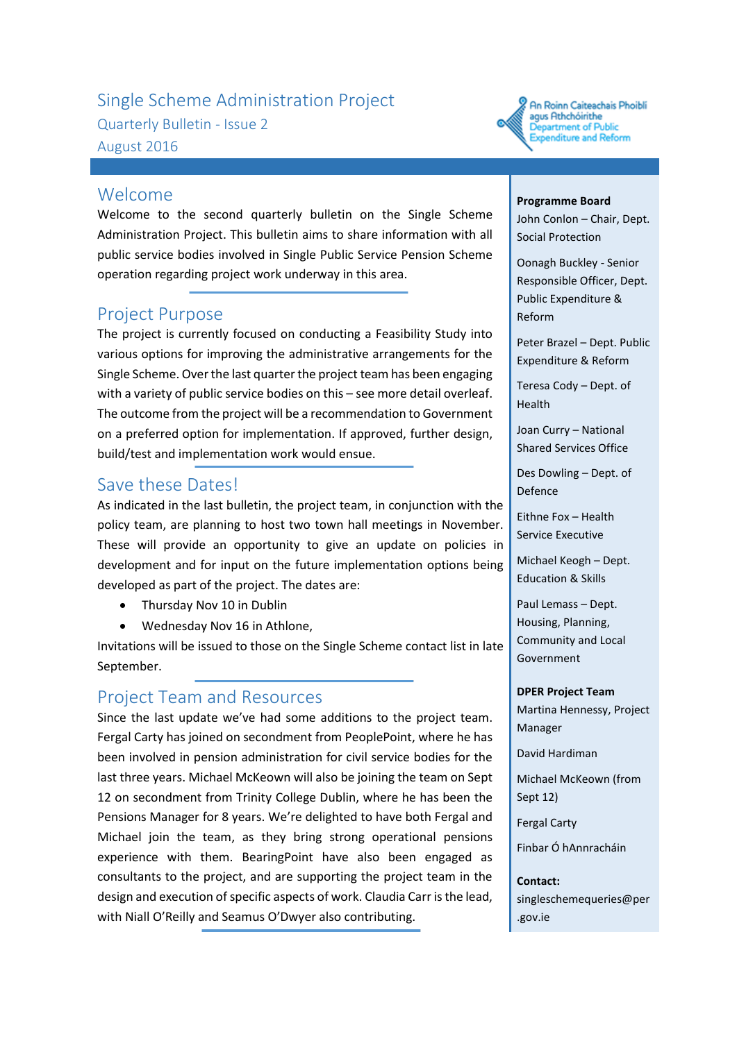# Single Scheme Administration Project Quarterly Bulletin - Issue 2 August 2016



#### Welcome

Welcome to the second quarterly bulletin on the Single Scheme Administration Project. This bulletin aims to share information with all public service bodies involved in Single Public Service Pension Scheme operation regarding project work underway in this area.

# Project Purpose

The project is currently focused on conducting a Feasibility Study into various options for improving the administrative arrangements for the Single Scheme. Over the last quarter the project team has been engaging with a variety of public service bodies on this – see more detail overleaf. The outcome from the project will be a recommendation to Government on a preferred option for implementation. If approved, further design, build/test and implementation work would ensue.

## Save these Dates!

As indicated in the last bulletin, the project team, in conjunction with the policy team, are planning to host two town hall meetings in November. These will provide an opportunity to give an update on policies in development and for input on the future implementation options being developed as part of the project. The dates are:

- Thursday Nov 10 in Dublin
- Wednesday Nov 16 in Athlone,

Invitations will be issued to those on the Single Scheme contact list in late September.

# Project Team and Resources

Since the last update we've had some additions to the project team. Fergal Carty has joined on secondment from PeoplePoint, where he has been involved in pension administration for civil service bodies for the last three years. Michael McKeown will also be joining the team on Sept 12 on secondment from Trinity College Dublin, where he has been the Pensions Manager for 8 years. We're delighted to have both Fergal and Michael join the team, as they bring strong operational pensions experience with them. BearingPoint have also been engaged as consultants to the project, and are supporting the project team in the design and execution of specific aspects of work. Claudia Carr is the lead, with Niall O'Reilly and Seamus O'Dwyer also contributing.

#### **Programme Board**

John Conlon – Chair, Dept. Social Protection

Oonagh Buckley - Senior Responsible Officer, Dept. Public Expenditure & Reform

Peter Brazel – Dept. Public Expenditure & Reform

Teresa Cody – Dept. of Health

Joan Curry – National Shared Services Office

Des Dowling – Dept. of Defence

Eithne Fox – Health Service Executive

Michael Keogh – Dept. Education & Skills

Paul Lemass – Dept. Housing, Planning, Community and Local Government

#### **DPER Project Team**

Martina Hennessy, Project Manager

David Hardiman

Michael McKeown (from Sept 12)

Fergal Carty

Finbar Ó hAnnracháin

**Contact:** singleschemequeries@per .gov.ie